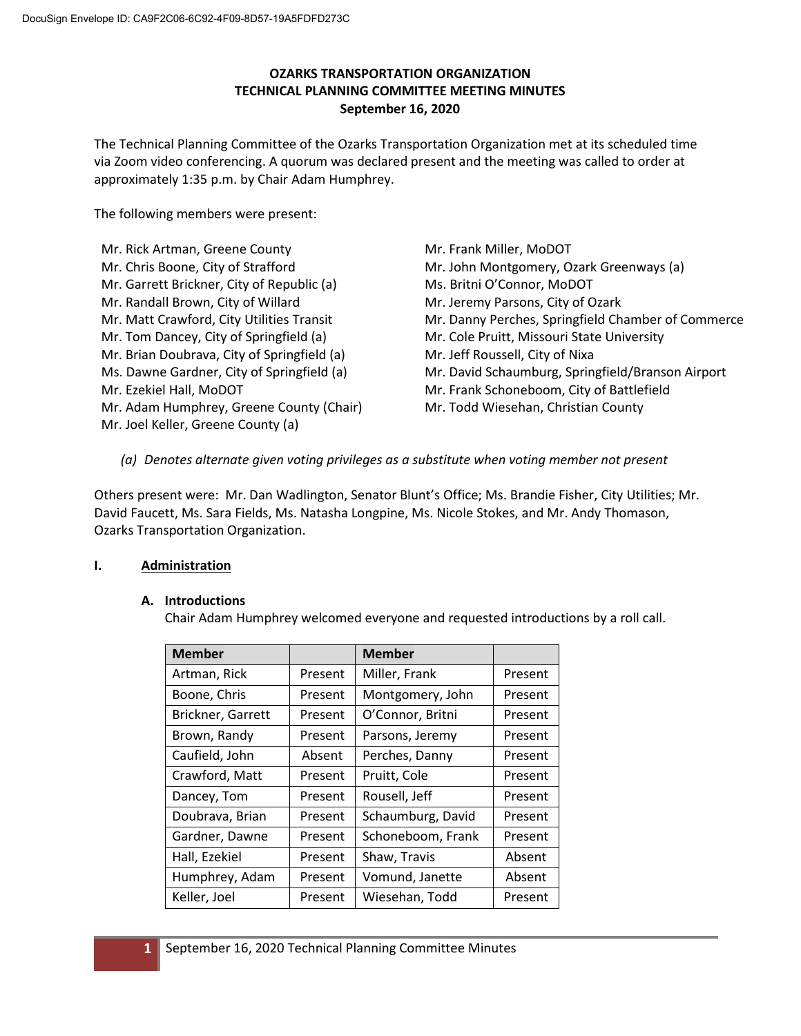# **OZARKS TRANSPORTATION ORGANIZATION TECHNICAL PLANNING COMMITTEE MEETING MINUTES September 16, 2020**

The Technical Planning Committee of the Ozarks Transportation Organization met at its scheduled time via Zoom video conferencing. A quorum was declared present and the meeting was called to order at approximately 1:35 p.m. by Chair Adam Humphrey.

The following members were present:

Mr. Rick Artman, Greene County Mr. Chris Boone, City of Strafford Mr. Garrett Brickner, City of Republic (a) Mr. Randall Brown, City of Willard Mr. Matt Crawford, City Utilities Transit Mr. Tom Dancey, City of Springfield (a) Mr. Brian Doubrava, City of Springfield (a) Ms. Dawne Gardner, City of Springfield (a) Mr. Ezekiel Hall, MoDOT Mr. Adam Humphrey, Greene County (Chair) Mr. Joel Keller, Greene County (a)

Mr. Frank Miller, MoDOT Mr. John Montgomery, Ozark Greenways (a) Ms. Britni O'Connor, MoDOT Mr. Jeremy Parsons, City of Ozark Mr. Danny Perches, Springfield Chamber of Commerce Mr. Cole Pruitt, Missouri State University Mr. Jeff Roussell, City of Nixa Mr. David Schaumburg, Springfield/Branson Airport Mr. Frank Schoneboom, City of Battlefield Mr. Todd Wiesehan, Christian County

*(a) Denotes alternate given voting privileges as a substitute when voting member not present*

Others present were: Mr. Dan Wadlington, Senator Blunt's Office; Ms. Brandie Fisher, City Utilities; Mr. David Faucett, Ms. Sara Fields, Ms. Natasha Longpine, Ms. Nicole Stokes, and Mr. Andy Thomason, Ozarks Transportation Organization.

# **I. Administration**

### **A. Introductions**

Chair Adam Humphrey welcomed everyone and requested introductions by a roll call.

| <b>Member</b>     |         | <b>Member</b>     |         |
|-------------------|---------|-------------------|---------|
| Artman, Rick      | Present | Miller, Frank     | Present |
| Boone, Chris      | Present | Montgomery, John  | Present |
| Brickner, Garrett | Present | O'Connor, Britni  | Present |
| Brown, Randy      | Present | Parsons, Jeremy   | Present |
| Caufield, John    | Absent  | Perches, Danny    | Present |
| Crawford, Matt    | Present | Pruitt, Cole      | Present |
| Dancey, Tom       | Present | Rousell, Jeff     | Present |
| Doubrava, Brian   | Present | Schaumburg, David | Present |
| Gardner, Dawne    | Present | Schoneboom, Frank | Present |
| Hall, Ezekiel     | Present | Shaw, Travis      | Absent  |
| Humphrey, Adam    | Present | Vomund, Janette   | Absent  |
| Keller, Joel      | Present | Wiesehan, Todd    | Present |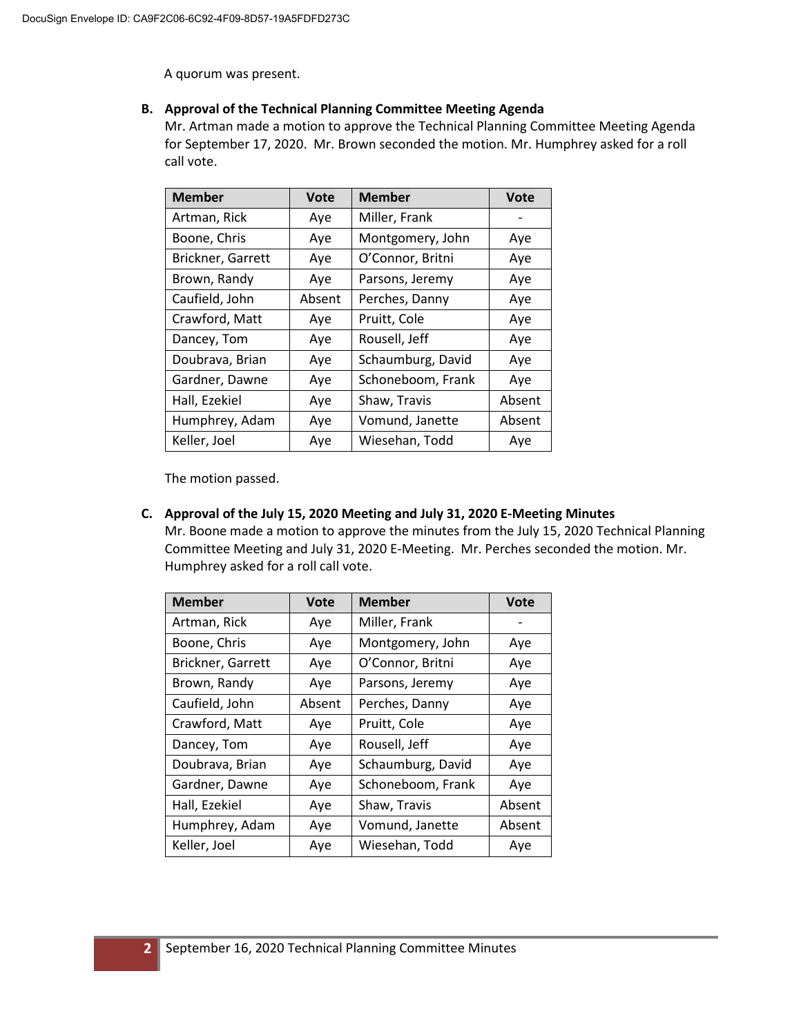A quorum was present.

### **B. Approval of the Technical Planning Committee Meeting Agenda**

Mr. Artman made a motion to approve the Technical Planning Committee Meeting Agenda for September 17, 2020. Mr. Brown seconded the motion. Mr. Humphrey asked for a roll call vote.

| <b>Member</b>     | <b>Vote</b> | <b>Member</b>     | <b>Vote</b> |
|-------------------|-------------|-------------------|-------------|
| Artman, Rick      | Aye         | Miller, Frank     |             |
| Boone, Chris      | Aye         | Montgomery, John  | Aye         |
| Brickner, Garrett | Aye         | O'Connor, Britni  | Aye         |
| Brown, Randy      | Aye         | Parsons, Jeremy   | Aye         |
| Caufield, John    | Absent      | Perches, Danny    | Aye         |
| Crawford, Matt    | Aye         | Pruitt, Cole      | Aye         |
| Dancey, Tom       | Aye         | Rousell, Jeff     | Aye         |
| Doubrava, Brian   | Aye         | Schaumburg, David | Aye         |
| Gardner, Dawne    | Aye         | Schoneboom, Frank | Aye         |
| Hall, Ezekiel     | Aye         | Shaw, Travis      | Absent      |
| Humphrey, Adam    | Aye         | Vomund, Janette   | Absent      |
| Keller, Joel      | Aye         | Wiesehan, Todd    | Aye         |

The motion passed.

#### **C. Approval of the July 15, 2020 Meeting and July 31, 2020 E-Meeting Minutes**

Mr. Boone made a motion to approve the minutes from the July 15, 2020 Technical Planning Committee Meeting and July 31, 2020 E-Meeting. Mr. Perches seconded the motion. Mr. Humphrey asked for a roll call vote.

| <b>Member</b>     | <b>Vote</b> | <b>Member</b>     | <b>Vote</b> |
|-------------------|-------------|-------------------|-------------|
| Artman, Rick      | Aye         | Miller, Frank     |             |
| Boone, Chris      | Aye         | Montgomery, John  | Aye         |
| Brickner, Garrett | Aye         | O'Connor, Britni  | Aye         |
| Brown, Randy      | Aye         | Parsons, Jeremy   | Aye         |
| Caufield, John    | Absent      | Perches, Danny    | Aye         |
| Crawford, Matt    | Aye         | Pruitt, Cole      | Aye         |
| Dancey, Tom       | Aye         | Rousell, Jeff     | Aye         |
| Doubrava, Brian   | Aye         | Schaumburg, David | Aye         |
| Gardner, Dawne    | Aye         | Schoneboom, Frank | Aye         |
| Hall, Ezekiel     | Aye         | Shaw, Travis      | Absent      |
| Humphrey, Adam    | Aye         | Vomund, Janette   | Absent      |
| Keller, Joel      | Aye         | Wiesehan, Todd    | Aye         |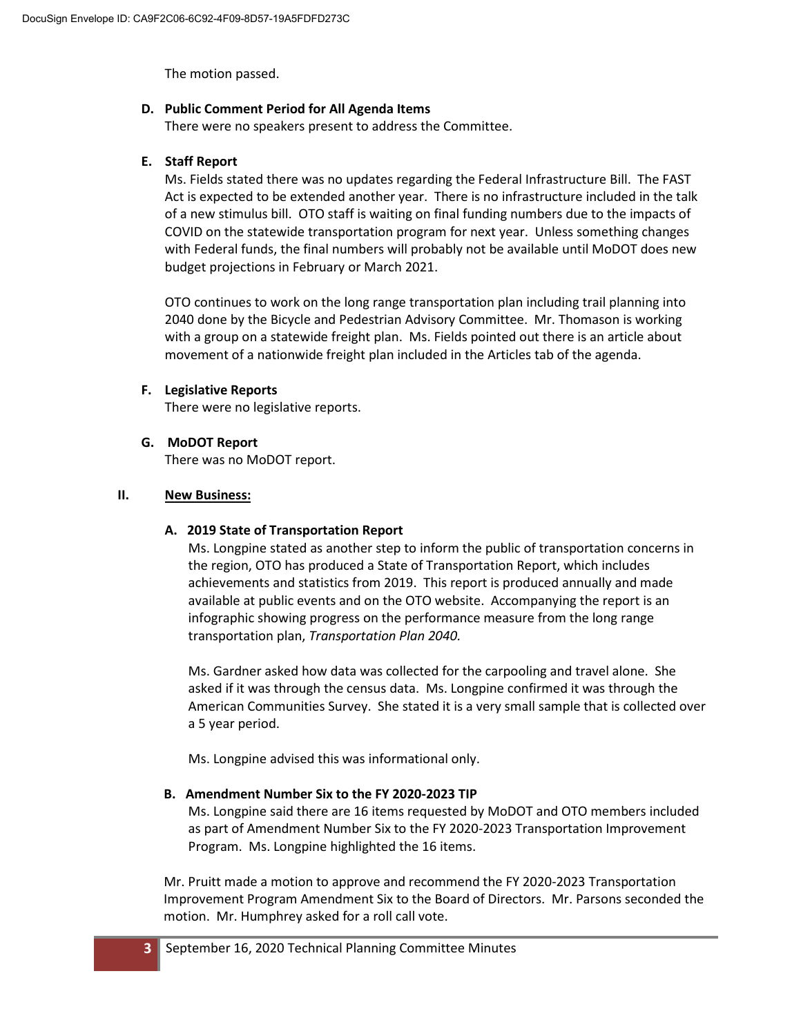The motion passed.

### **D. Public Comment Period for All Agenda Items**

There were no speakers present to address the Committee.

## **E. Staff Report**

Ms. Fields stated there was no updates regarding the Federal Infrastructure Bill. The FAST Act is expected to be extended another year. There is no infrastructure included in the talk of a new stimulus bill. OTO staff is waiting on final funding numbers due to the impacts of COVID on the statewide transportation program for next year. Unless something changes with Federal funds, the final numbers will probably not be available until MoDOT does new budget projections in February or March 2021.

OTO continues to work on the long range transportation plan including trail planning into 2040 done by the Bicycle and Pedestrian Advisory Committee. Mr. Thomason is working with a group on a statewide freight plan. Ms. Fields pointed out there is an article about movement of a nationwide freight plan included in the Articles tab of the agenda.

## **F. Legislative Reports**

There were no legislative reports.

## **G. MoDOT Report**

There was no MoDOT report.

## **II. New Business:**

### **A. 2019 State of Transportation Report**

Ms. Longpine stated as another step to inform the public of transportation concerns in the region, OTO has produced a State of Transportation Report, which includes achievements and statistics from 2019. This report is produced annually and made available at public events and on the OTO website. Accompanying the report is an infographic showing progress on the performance measure from the long range transportation plan, *Transportation Plan 2040.*

Ms. Gardner asked how data was collected for the carpooling and travel alone. She asked if it was through the census data. Ms. Longpine confirmed it was through the American Communities Survey. She stated it is a very small sample that is collected over a 5 year period.

Ms. Longpine advised this was informational only.

### **B. Amendment Number Six to the FY 2020-2023 TIP**

Ms. Longpine said there are 16 items requested by MoDOT and OTO members included as part of Amendment Number Six to the FY 2020-2023 Transportation Improvement Program. Ms. Longpine highlighted the 16 items.

Mr. Pruitt made a motion to approve and recommend the FY 2020-2023 Transportation Improvement Program Amendment Six to the Board of Directors. Mr. Parsons seconded the motion. Mr. Humphrey asked for a roll call vote.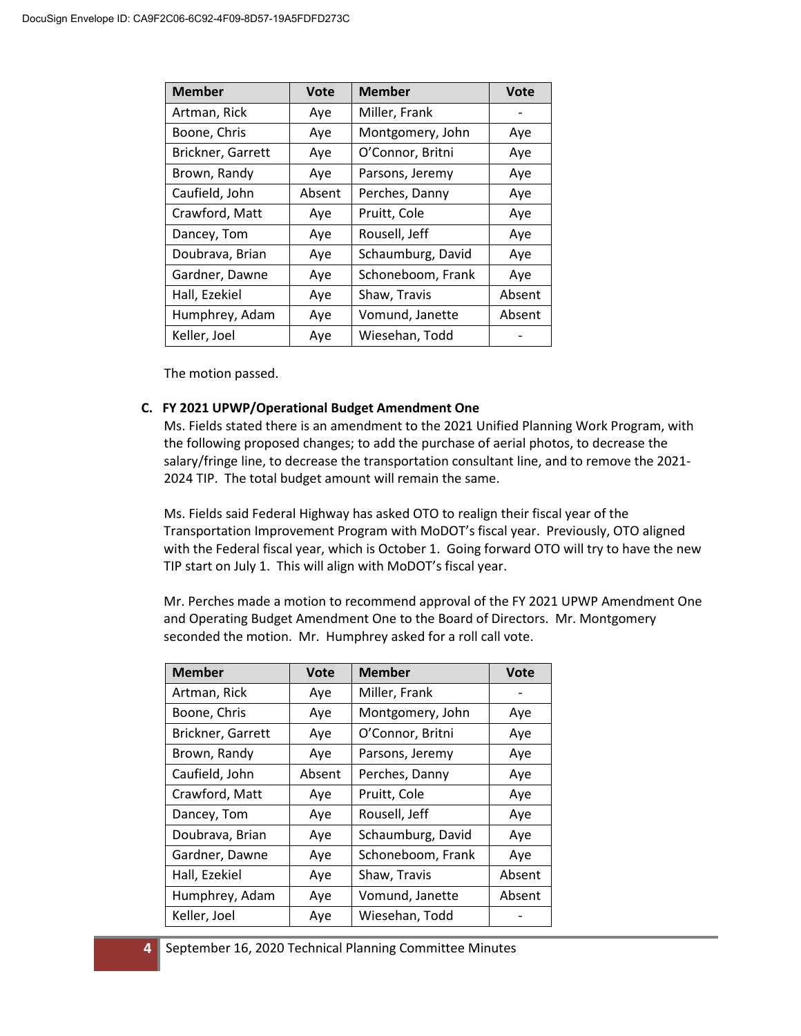| <b>Member</b>     | <b>Vote</b> | <b>Member</b>     | <b>Vote</b> |
|-------------------|-------------|-------------------|-------------|
| Artman, Rick      | Aye         | Miller, Frank     |             |
| Boone, Chris      | Aye         | Montgomery, John  | Aye         |
| Brickner, Garrett | Aye         | O'Connor, Britni  | Aye         |
| Brown, Randy      | Aye         | Parsons, Jeremy   | Aye         |
| Caufield, John    | Absent      | Perches, Danny    | Aye         |
| Crawford, Matt    | Aye         | Pruitt, Cole      | Aye         |
| Dancey, Tom       | Aye         | Rousell, Jeff     | Aye         |
| Doubrava, Brian   | Aye         | Schaumburg, David | Aye         |
| Gardner, Dawne    | Aye         | Schoneboom, Frank | Aye         |
| Hall, Ezekiel     | Aye         | Shaw, Travis      | Absent      |
| Humphrey, Adam    | Aye         | Vomund, Janette   | Absent      |
| Keller, Joel      | Aye         | Wiesehan, Todd    |             |

The motion passed.

#### **C. FY 2021 UPWP/Operational Budget Amendment One**

Ms. Fields stated there is an amendment to the 2021 Unified Planning Work Program, with the following proposed changes; to add the purchase of aerial photos, to decrease the salary/fringe line, to decrease the transportation consultant line, and to remove the 2021- 2024 TIP. The total budget amount will remain the same.

Ms. Fields said Federal Highway has asked OTO to realign their fiscal year of the Transportation Improvement Program with MoDOT's fiscal year. Previously, OTO aligned with the Federal fiscal year, which is October 1. Going forward OTO will try to have the new TIP start on July 1. This will align with MoDOT's fiscal year.

Mr. Perches made a motion to recommend approval of the FY 2021 UPWP Amendment One and Operating Budget Amendment One to the Board of Directors. Mr. Montgomery seconded the motion. Mr. Humphrey asked for a roll call vote.

| <b>Member</b>     | <b>Vote</b> | <b>Member</b>     | <b>Vote</b> |
|-------------------|-------------|-------------------|-------------|
| Artman, Rick      | Aye         | Miller, Frank     |             |
| Boone, Chris      | Aye         | Montgomery, John  | Aye         |
| Brickner, Garrett | Aye         | O'Connor, Britni  | Aye         |
| Brown, Randy      | Aye         | Parsons, Jeremy   | Aye         |
| Caufield, John    | Absent      | Perches, Danny    | Aye         |
| Crawford, Matt    | Aye         | Pruitt, Cole      | Aye         |
| Dancey, Tom       | Aye         | Rousell, Jeff     | Aye         |
| Doubrava, Brian   | Aye         | Schaumburg, David | Aye         |
| Gardner, Dawne    | Aye         | Schoneboom, Frank | Aye         |
| Hall, Ezekiel     | Aye         | Shaw, Travis      | Absent      |
| Humphrey, Adam    | Aye         | Vomund, Janette   | Absent      |
| Keller, Joel      | Aye         | Wiesehan, Todd    |             |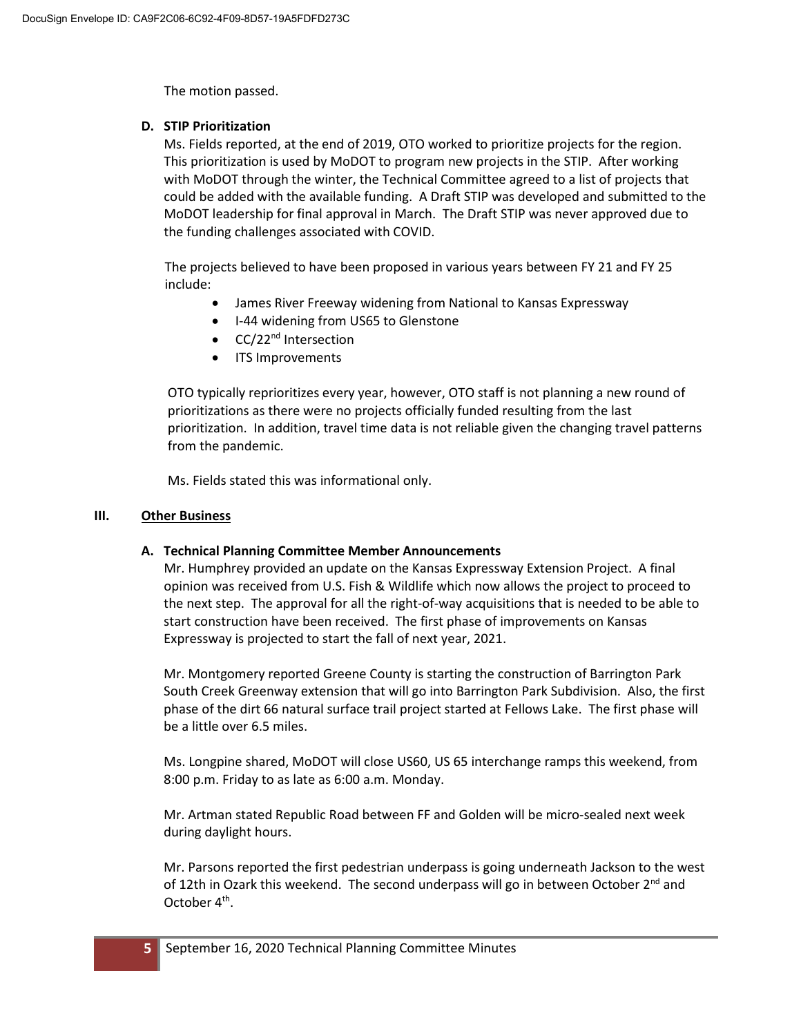The motion passed.

## **D. STIP Prioritization**

Ms. Fields reported, at the end of 2019, OTO worked to prioritize projects for the region. This prioritization is used by MoDOT to program new projects in the STIP. After working with MoDOT through the winter, the Technical Committee agreed to a list of projects that could be added with the available funding. A Draft STIP was developed and submitted to the MoDOT leadership for final approval in March. The Draft STIP was never approved due to the funding challenges associated with COVID.

The projects believed to have been proposed in various years between FY 21 and FY 25 include:

- James River Freeway widening from National to Kansas Expressway
- I-44 widening from US65 to Glenstone
- CC/22<sup>nd</sup> Intersection
- ITS Improvements

OTO typically reprioritizes every year, however, OTO staff is not planning a new round of prioritizations as there were no projects officially funded resulting from the last prioritization. In addition, travel time data is not reliable given the changing travel patterns from the pandemic.

Ms. Fields stated this was informational only.

### **III. Other Business**

### **A. Technical Planning Committee Member Announcements**

Mr. Humphrey provided an update on the Kansas Expressway Extension Project. A final opinion was received from U.S. Fish & Wildlife which now allows the project to proceed to the next step. The approval for all the right-of-way acquisitions that is needed to be able to start construction have been received. The first phase of improvements on Kansas Expressway is projected to start the fall of next year, 2021.

Mr. Montgomery reported Greene County is starting the construction of Barrington Park South Creek Greenway extension that will go into Barrington Park Subdivision. Also, the first phase of the dirt 66 natural surface trail project started at Fellows Lake. The first phase will be a little over 6.5 miles.

Ms. Longpine shared, MoDOT will close US60, US 65 interchange ramps this weekend, from 8:00 p.m. Friday to as late as 6:00 a.m. Monday.

Mr. Artman stated Republic Road between FF and Golden will be micro-sealed next week during daylight hours.

Mr. Parsons reported the first pedestrian underpass is going underneath Jackson to the west of 12th in Ozark this weekend. The second underpass will go in between October  $2^{nd}$  and October 4<sup>th</sup>.